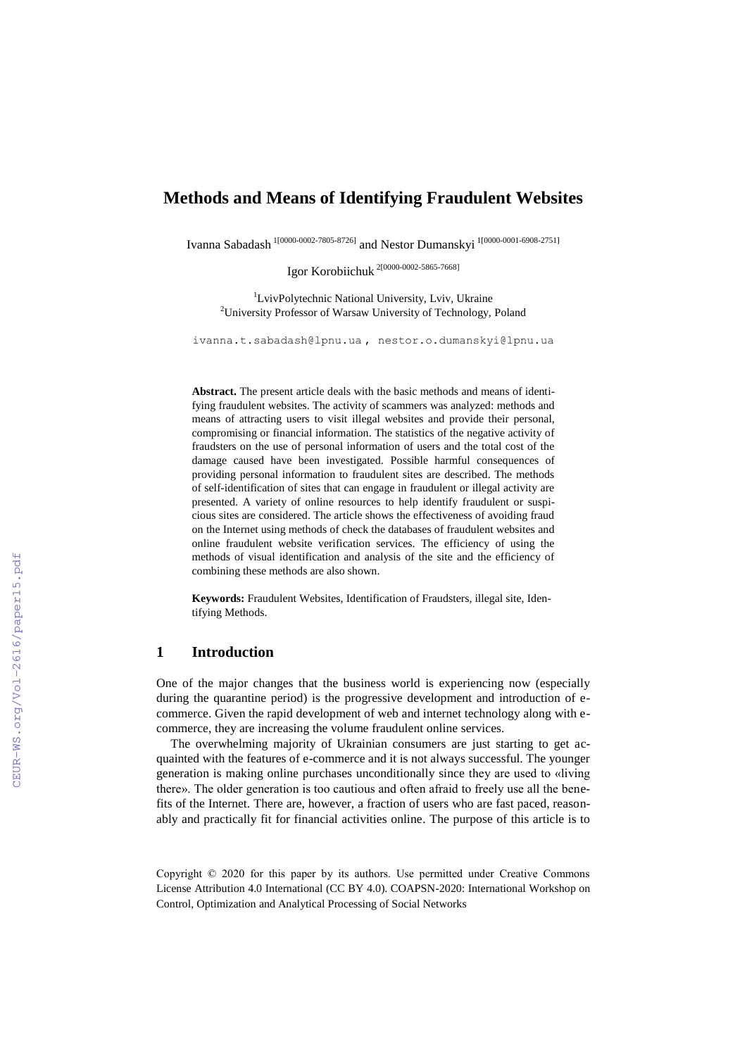# **Methods and Means of Identifying Fraudulent Websites**

Ivanna Sabadash 1[0000-0002-7805-8726] and Nestor Dumanskyi 1[0000-0001-6908-2751]

Igor Korobiichuk 2[0000-0002-5865-7668]

<sup>1</sup>LvivPolytechnic National University, Lviv, Ukraine <sup>2</sup>University Professor of Warsaw University of Technology, Poland

[ivanna.t.sabadash@lpnu.ua](mailto:ivanna.t.sabadash@lpnu.ua) , [nestor.o.dumanskyi@lpnu.ua](mailto:nestor.o.dumanskyi@lpnu.ua)

**Abstract.** The present article deals with the basic methods and means of identifying fraudulent websites. The activity of scammers was analyzed: methods and means of attracting users to visit illegal websites and provide their personal, compromising or financial information. The statistics of the negative activity of fraudsters on the use of personal information of users and the total cost of the damage caused have been investigated. Possible harmful consequences of providing personal information to fraudulent sites are described. The methods of self-identification of sites that can engage in fraudulent or illegal activity are presented. A variety of online resources to help identify fraudulent or suspicious sites are considered. The article shows the effectiveness of avoiding fraud on the Internet using methods of check the databases of fraudulent websites and online fraudulent website verification services. The efficiency of using the methods of visual identification and analysis of the site and the efficiency of combining these methods are also shown.

**Keywords:** Fraudulent Websites, Identification of Fraudsters, illegal site, Identifying Methods.

## **1 Introduction**

One of the major changes that the business world is experiencing now (especially during the quarantine period) is the progressive development and introduction of ecommerce. Given the rapid development of web and internet technology along with ecommerce, they are increasing the volume fraudulent online services.

The overwhelming majority of Ukrainian consumers are just starting to get acquainted with the features of e-commerce and it is not always successful. The younger generation is making online purchases unconditionally since they are used to «living there». The older generation is too cautious and often afraid to freely use all the benefits of the Internet. There are, however, a fraction of users who are fast paced, reasonably and practically fit for financial activities online. The purpose of this article is to

Copyright © 2020 for this paper by its authors. Use permitted under Creative Commons License Attribution 4.0 International (CC BY 4.0). COAPSN-2020: International Workshop on Control, Optimization and Analytical Processing of Social Networks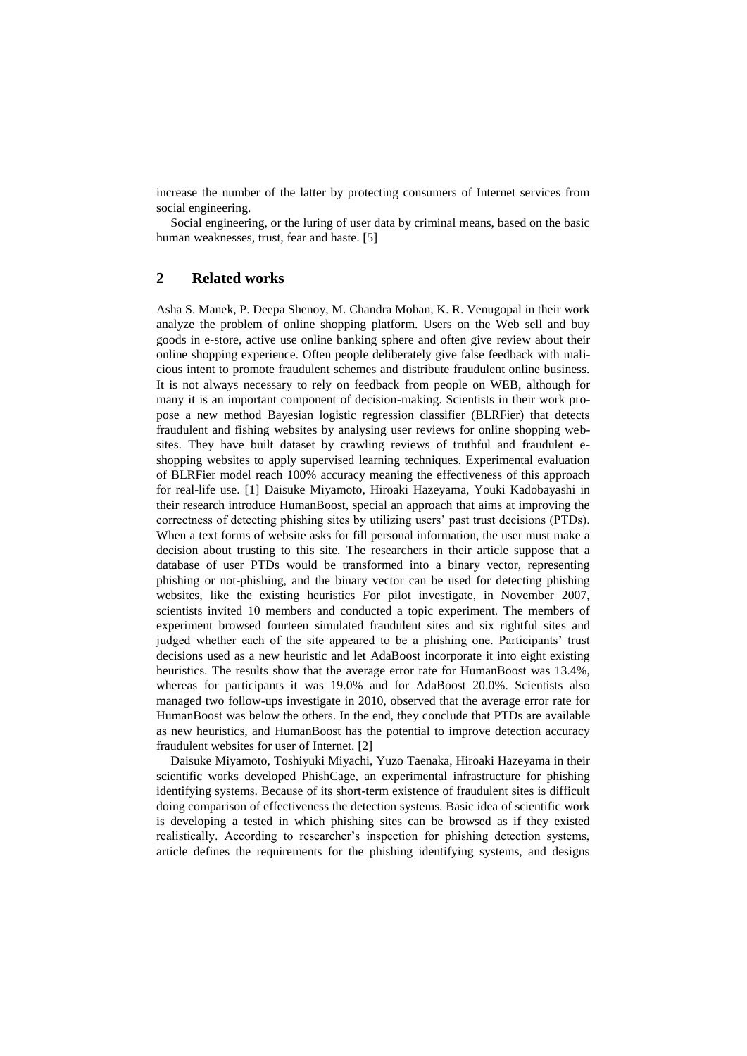increase the number of the latter by protecting consumers of Internet services from social engineering.

Social engineering, or the luring of user data by criminal means, based on the basic human weaknesses, trust, fear and haste. [5]

## **2 Related works**

Asha S. Manek, P. Deepa Shenoy, M. Chandra Mohan, K. R. Venugopal in their work analyze the problem of online shopping platform. Users on the Web sell and buy goods in e-store, active use online banking sphere and often give review about their online shopping experience. Often people deliberately give false feedback with malicious intent to promote fraudulent schemes and distribute fraudulent online business. It is not always necessary to rely on feedback from people on WEB, although for many it is an important component of decision-making. Scientists in their work propose a new method Bayesian logistic regression classifier (BLRFier) that detects fraudulent and fishing websites by analysing user reviews for online shopping websites. They have built dataset by crawling reviews of truthful and fraudulent eshopping websites to apply supervised learning techniques. Experimental evaluation of BLRFier model reach 100% accuracy meaning the effectiveness of this approach for real-life use. [1] Daisuke Miyamoto, Hiroaki Hazeyama, Youki Kadobayashi in their research introduce HumanBoost, special an approach that aims at improving the correctness of detecting phishing sites by utilizing users' past trust decisions (PTDs). When a text forms of website asks for fill personal information, the user must make a decision about trusting to this site. The researchers in their article suppose that a database of user PTDs would be transformed into a binary vector, representing phishing or not-phishing, and the binary vector can be used for detecting phishing websites, like the existing heuristics For pilot investigate, in November 2007, scientists invited 10 members and conducted a topic experiment. The members of experiment browsed fourteen simulated fraudulent sites and six rightful sites and judged whether each of the site appeared to be a phishing one. Participants' trust decisions used as a new heuristic and let AdaBoost incorporate it into eight existing heuristics. The results show that the average error rate for HumanBoost was 13.4%, whereas for participants it was 19.0% and for AdaBoost 20.0%. Scientists also managed two follow-ups investigate in 2010, observed that the average error rate for HumanBoost was below the others. In the end, they conclude that PTDs are available as new heuristics, and HumanBoost has the potential to improve detection accuracy fraudulent websites for user of Internet. [2]

Daisuke Miyamoto, Toshiyuki Miyachi, Yuzo Taenaka, Hiroaki Hazeyama in their scientific works developed PhishCage, an experimental infrastructure for phishing identifying systems. Because of its short-term existence of fraudulent sites is difficult doing comparison of effectiveness the detection systems. Basic idea of scientific work is developing a tested in which phishing sites can be browsed as if they existed realistically. According to researcher's inspection for phishing detection systems, article defines the requirements for the phishing identifying systems, and designs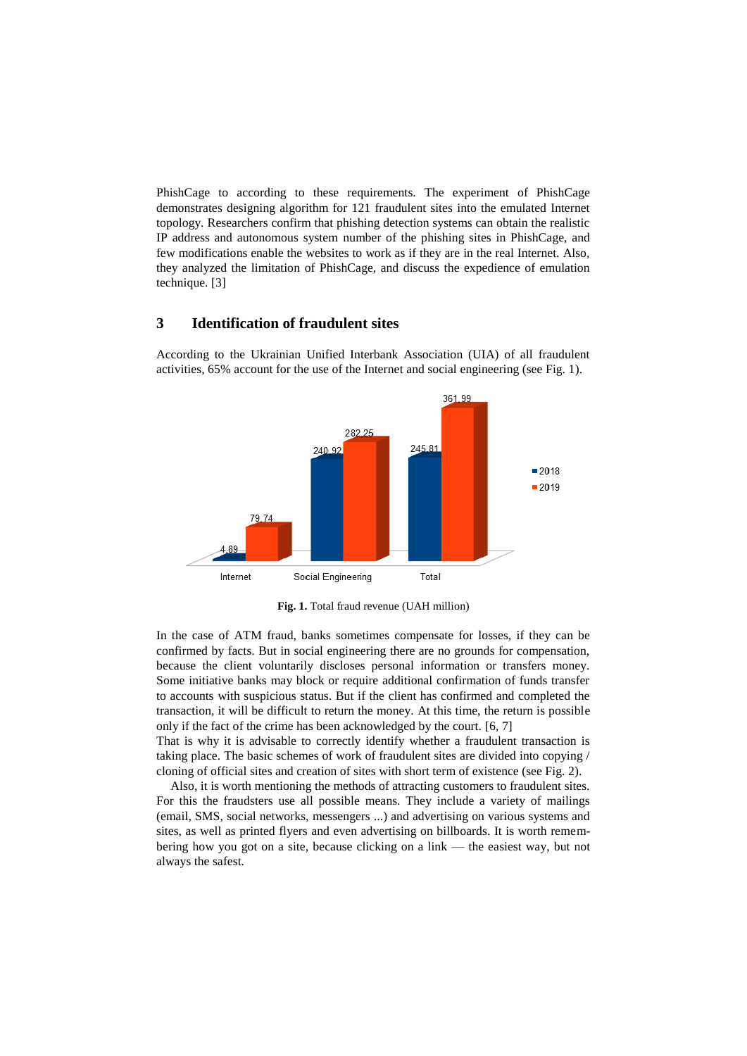PhishCage to according to these requirements. The experiment of PhishCage demonstrates designing algorithm for 121 fraudulent sites into the emulated Internet topology. Researchers confirm that phishing detection systems can obtain the realistic IP address and autonomous system number of the phishing sites in PhishCage, and few modifications enable the websites to work as if they are in the real Internet. Also, they analyzed the limitation of PhishCage, and discuss the expedience of emulation technique. [3]

## **3 Identification of fraudulent sites**



According to the Ukrainian Unified Interbank Association (UIA) of all fraudulent activities, 65% account for the use of the Internet and social engineering (see Fig. 1).

**Fig. 1.** Total fraud revenue (UAH million)

In the case of ATM fraud, banks sometimes compensate for losses, if they can be confirmed by facts. But in social engineering there are no grounds for compensation, because the client voluntarily discloses personal information or transfers money. Some initiative banks may block or require additional confirmation of funds transfer to accounts with suspicious status. But if the client has confirmed and completed the transaction, it will be difficult to return the money. At this time, the return is possible only if the fact of the crime has been acknowledged by the court. [6, 7]

That is why it is advisable to correctly identify whether a fraudulent transaction is taking place. The basic schemes of work of fraudulent sites are divided into copying / cloning of official sites and creation of sites with short term of existence (see Fig. 2).

Also, it is worth mentioning the methods of attracting customers to fraudulent sites. For this the fraudsters use all possible means. They include a variety of mailings (email, SMS, social networks, messengers ...) and advertising on various systems and sites, as well as printed flyers and even advertising on billboards. It is worth remembering how you got on a site, because clicking on a link — the easiest way, but not always the safest.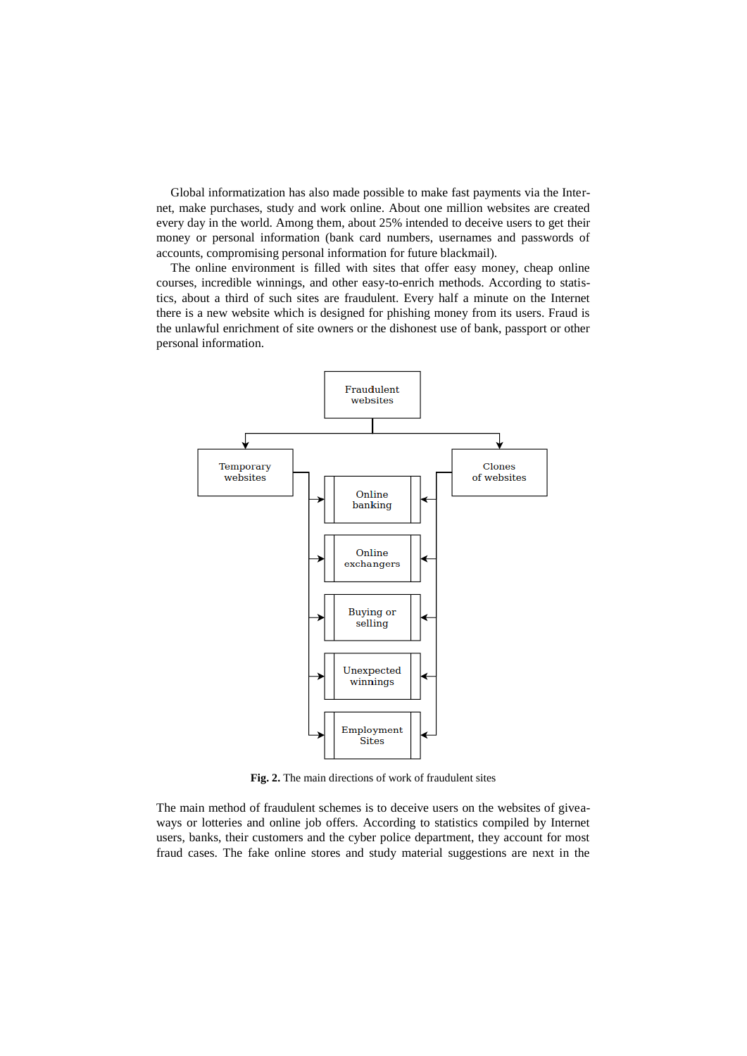Global informatization has also made possible to make fast payments via the Internet, make purchases, study and work online. About one million websites are created every day in the world. Among them, about 25% intended to deceive users to get their money or personal information (bank card numbers, usernames and passwords of accounts, compromising personal information for future blackmail).

The online environment is filled with sites that offer easy money, cheap online courses, incredible winnings, and other easy-to-enrich methods. According to statistics, about a third of such sites are fraudulent. Every half a minute on the Internet there is a new website which is designed for phishing money from its users. Fraud is the unlawful enrichment of site owners or the dishonest use of bank, passport or other personal information.



**Fig. 2.** The main directions of work of fraudulent sites

The main method of fraudulent schemes is to deceive users on the websites of giveaways or lotteries and online job offers. According to statistics compiled by Internet users, banks, their customers and the cyber police department, they account for most fraud cases. The fake online stores and study material suggestions are next in the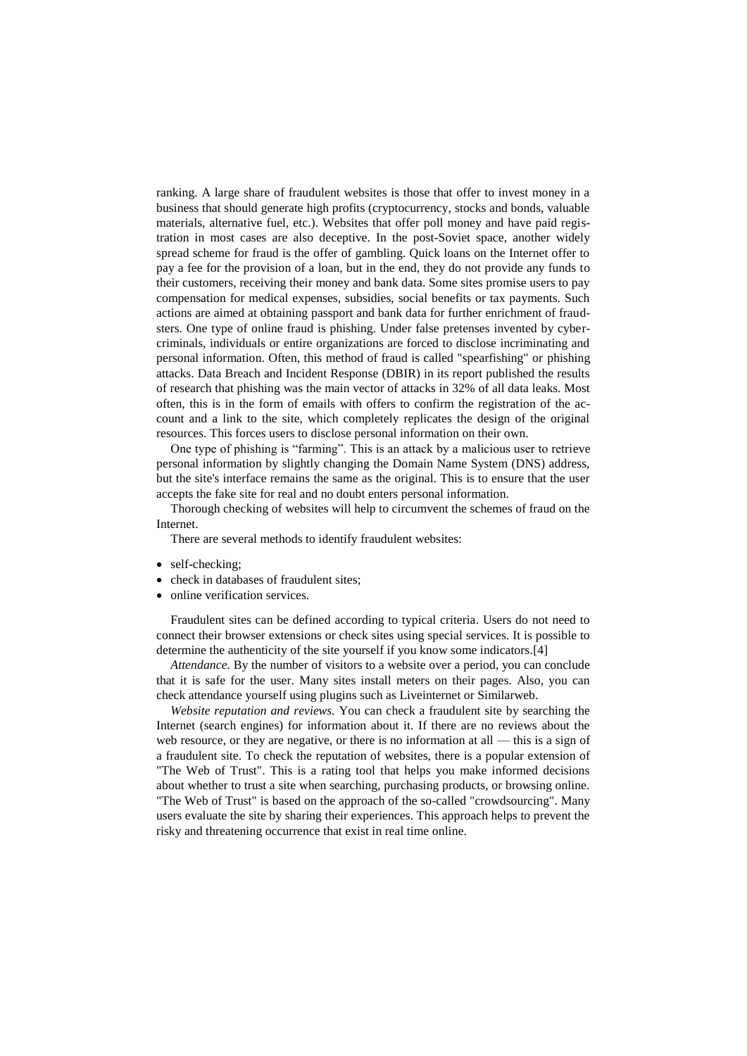ranking. A large share of fraudulent websites is those that offer to invest money in a business that should generate high profits (cryptocurrency, stocks and bonds, valuable materials, alternative fuel, etc.). Websites that offer poll money and have paid registration in most cases are also deceptive. In the post-Soviet space, another widely spread scheme for fraud is the offer of gambling. Quick loans on the Internet offer to pay a fee for the provision of a loan, but in the end, they do not provide any funds to their customers, receiving their money and bank data. Some sites promise users to pay compensation for medical expenses, subsidies, social benefits or tax payments. Such actions are aimed at obtaining passport and bank data for further enrichment of fraudsters. One type of online fraud is phishing. Under false pretenses invented by cybercriminals, individuals or entire organizations are forced to disclose incriminating and personal information. Often, this method of fraud is called "spearfishing" or phishing attacks. Data Breach and Incident Response (DBIR) in its report published the results of research that phishing was the main vector of attacks in 32% of all data leaks. Most often, this is in the form of emails with offers to confirm the registration of the account and a link to the site, which completely replicates the design of the original resources. This forces users to disclose personal information on their own.

One type of phishing is "farming". This is an attack by a malicious user to retrieve personal information by slightly changing the Domain Name System (DNS) address, but the site's interface remains the same as the original. This is to ensure that the user accepts the fake site for real and no doubt enters personal information.

Thorough checking of websites will help to circumvent the schemes of fraud on the Internet.

There are several methods to identify fraudulent websites:

- self-checking;
- check in databases of fraudulent sites;
- online verification services.

Fraudulent sites can be defined according to typical criteria. Users do not need to connect their browser extensions or check sites using special services. It is possible to determine the authenticity of the site yourself if you know some indicators.[4]

*Attendance.* By the number of visitors to a website over a period, you can conclude that it is safe for the user. Many sites install meters on their pages. Also, you can check attendance yourself using plugins such as Liveinternet or Similarweb.

*Website reputation and reviews.* You can check a fraudulent site by searching the Internet (search engines) for information about it. If there are no reviews about the web resource, or they are negative, or there is no information at all — this is a sign of a fraudulent site. To check the reputation of websites, there is a popular extension of "The Web of Trust". This is a rating tool that helps you make informed decisions about whether to trust a site when searching, purchasing products, or browsing online. "The Web of Trust" is based on the approach of the so-called "crowdsourcing". Many users evaluate the site by sharing their experiences. This approach helps to prevent the risky and threatening occurrence that exist in real time online.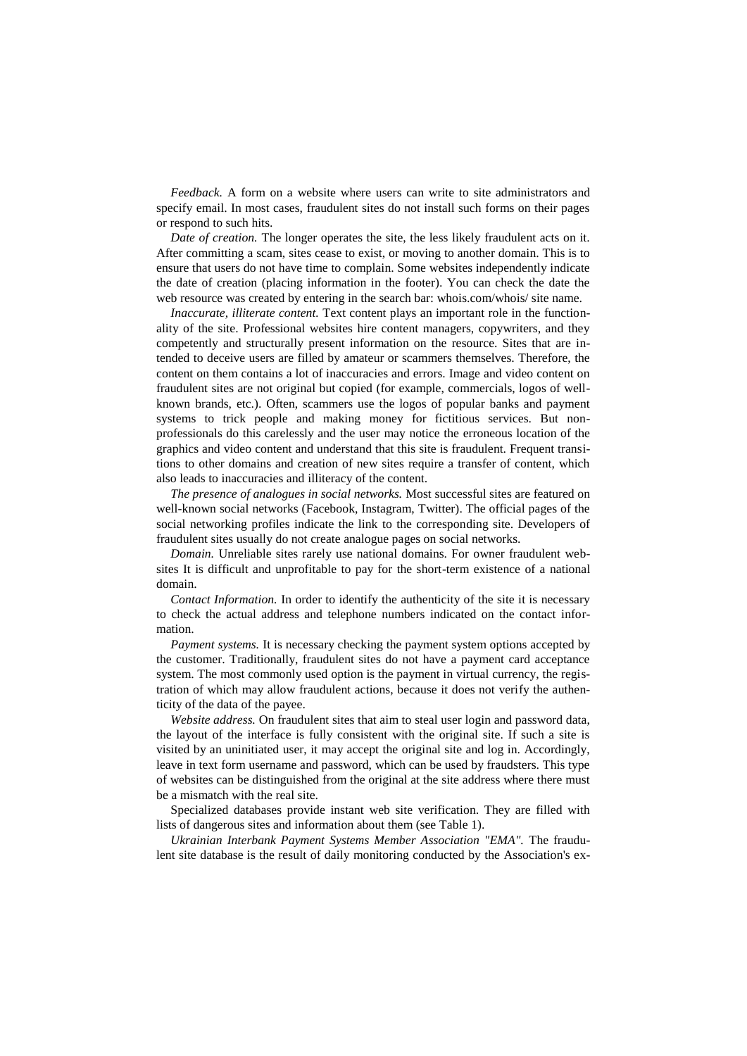*Feedback.* A form on a website where users can write to site administrators and specify email. In most cases, fraudulent sites do not install such forms on their pages or respond to such hits.

*Date of creation.* The longer operates the site, the less likely fraudulent acts on it. After committing a scam, sites cease to exist, or moving to another domain. This is to ensure that users do not have time to complain. Some websites independently indicate the date of creation (placing information in the footer). You can check the date the web resource was created by entering in the search bar: whois.com/whois/ site name.

*Inaccurate, illiterate content.* Text content plays an important role in the functionality of the site. Professional websites hire content managers, copywriters, and they competently and structurally present information on the resource. Sites that are intended to deceive users are filled by amateur or scammers themselves. Therefore, the content on them contains a lot of inaccuracies and errors. Image and video content on fraudulent sites are not original but copied (for example, commercials, logos of wellknown brands, etc.). Often, scammers use the logos of popular banks and payment systems to trick people and making money for fictitious services. But nonprofessionals do this carelessly and the user may notice the erroneous location of the graphics and video content and understand that this site is fraudulent. Frequent transitions to other domains and creation of new sites require a transfer of content, which also leads to inaccuracies and illiteracy of the content.

*The presence of analogues in social networks.* Most successful sites are featured on well-known social networks (Facebook, Instagram, Twitter). The official pages of the social networking profiles indicate the link to the corresponding site. Developers of fraudulent sites usually do not create analogue pages on social networks.

*Domain.* Unreliable sites rarely use national domains. For owner fraudulent websites It is difficult and unprofitable to pay for the short-term existence of a national domain.

*Contact Information.* In order to identify the authenticity of the site it is necessary to check the actual address and telephone numbers indicated on the contact information.

*Payment systems.* It is necessary checking the payment system options accepted by the customer. Traditionally, fraudulent sites do not have a payment card acceptance system. The most commonly used option is the payment in virtual currency, the registration of which may allow fraudulent actions, because it does not verify the authenticity of the data of the payee.

*Website address.* On fraudulent sites that aim to steal user login and password data, the layout of the interface is fully consistent with the original site. If such a site is visited by an uninitiated user, it may accept the original site and log in. Accordingly, leave in text form username and password, which can be used by fraudsters. This type of websites can be distinguished from the original at the site address where there must be a mismatch with the real site.

Specialized databases provide instant web site verification. They are filled with lists of dangerous sites and information about them (see Table 1).

*Ukrainian Interbank Payment Systems Member Association "EMA".* The fraudulent site database is the result of daily monitoring conducted by the Association's ex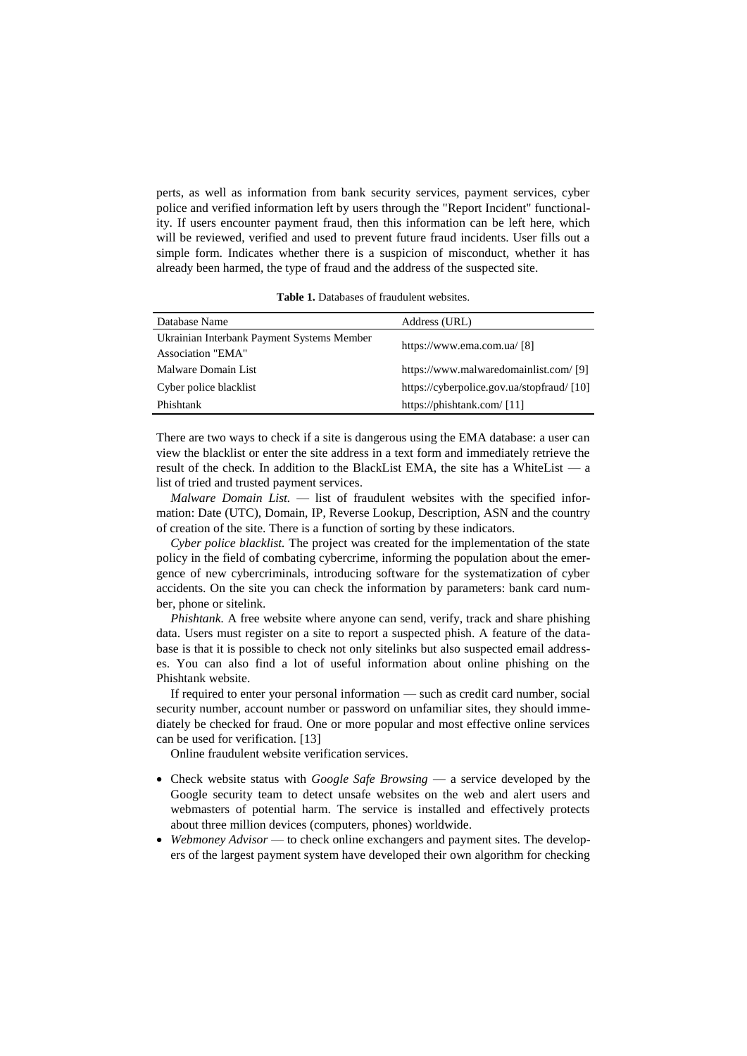perts, as well as information from bank security services, payment services, cyber police and verified information left by users through the "Report Incident" functionality. If users encounter payment fraud, then this information can be left here, which will be reviewed, verified and used to prevent future fraud incidents. User fills out a simple form. Indicates whether there is a suspicion of misconduct, whether it has already been harmed, the type of fraud and the address of the suspected site.

**Table 1.** Databases of fraudulent websites.

| Database Name                              | Address (URL)                              |
|--------------------------------------------|--------------------------------------------|
| Ukrainian Interbank Payment Systems Member | https://www.ema.com.ua/ [8]                |
| Association "EMA"                          |                                            |
| Malware Domain List                        | https://www.malwaredomainlist.com/ [9]     |
| Cyber police blacklist                     | https://cyberpolice.gov.ua/stopfraud/ [10] |
| Phishtank                                  | https://phishtank.com/ [11]                |

There are two ways to check if a site is dangerous using the EMA database: a user can view the blacklist or enter the site address in a text form and immediately retrieve the result of the check. In addition to the BlackList EMA, the site has a WhiteList — a list of tried and trusted payment services.

*Malware Domain List.* — list of fraudulent websites with the specified information: Date (UTC), Domain, IP, Reverse Lookup, Description, ASN and the country of creation of the site. There is a function of sorting by these indicators.

*Cyber police blacklist.* The project was created for the implementation of the state policy in the field of combating cybercrime, informing the population about the emergence of new cybercriminals, introducing software for the systematization of cyber accidents. On the site you can check the information by parameters: bank card number, phone or sitelink.

*Phishtank.* A free website where anyone can send, verify, track and share phishing data. Users must register on a site to report a suspected phish. A feature of the database is that it is possible to check not only sitelinks but also suspected email addresses. You can also find a lot of useful information about online phishing on the Phishtank website.

If required to enter your personal information — such as credit card number, social security number, account number or password on unfamiliar sites, they should immediately be checked for fraud. One or more popular and most effective online services can be used for verification. [13]

Online fraudulent website verification services.

- Check website status with *Google Safe Browsing* a service developed by the Google security team to detect unsafe websites on the web and alert users and webmasters of potential harm. The service is installed and effectively protects about three million devices (computers, phones) worldwide.
- *Webmoney Advisor* to check online exchangers and payment sites. The developers of the largest payment system have developed their own algorithm for checking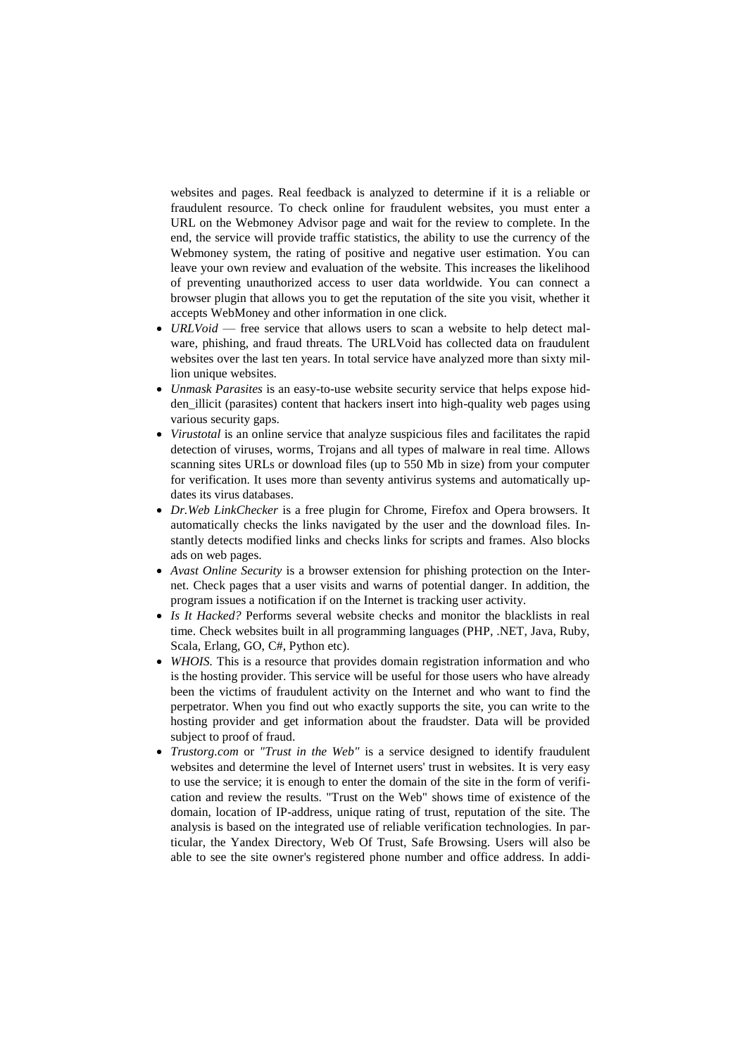websites and pages. Real feedback is analyzed to determine if it is a reliable or fraudulent resource. To check online for fraudulent websites, you must enter a URL on the Webmoney Advisor page and wait for the review to complete. In the end, the service will provide traffic statistics, the ability to use the currency of the Webmoney system, the rating of positive and negative user estimation. You can leave your own review and evaluation of the website. This increases the likelihood of preventing unauthorized access to user data worldwide. You can connect a browser plugin that allows you to get the reputation of the site you visit, whether it accepts WebMoney and other information in one click.

- *URLVoid*  free service that allows users to scan a website to help detect malware, phishing, and fraud threats. The URLVoid has collected data on fraudulent websites over the last ten years. In total service have analyzed more than sixty million unique websites.
- *Unmask Parasites* is an easy-to-use website security service that helps expose hidden\_illicit (parasites) content that hackers insert into high-quality web pages using various security gaps.
- *Virustotal* is an online service that analyze suspicious files and facilitates the rapid detection of viruses, worms, Trojans and all types of malware in real time. Allows scanning sites URLs or download files (up to 550 Mb in size) from your computer for verification. It uses more than seventy antivirus systems and automatically updates its virus databases.
- *Dr.Web LinkChecker* is a free plugin for Chrome, Firefox and Opera browsers. It automatically checks the links navigated by the user and the download files. Instantly detects modified links and checks links for scripts and frames. Also blocks ads on web pages.
- *Avast Online Security* is a browser extension for phishing protection on the Internet. Check pages that a user visits and warns of potential danger. In addition, the program issues a notification if on the Internet is tracking user activity.
- *Is It Hacked?* Performs several website checks and monitor the blacklists in real time. Check websites built in all programming languages (PHP, .NET, Java, Ruby, Scala, Erlang, GO, C#, Python etc).
- *WHOIS*. This is a resource that provides domain registration information and who is the hosting provider. This service will be useful for those users who have already been the victims of fraudulent activity on the Internet and who want to find the perpetrator. When you find out who exactly supports the site, you can write to the hosting provider and get information about the fraudster. Data will be provided subject to proof of fraud.
- *Trustorg.com* or *"Trust in the Web"* is a service designed to identify fraudulent websites and determine the level of Internet users' trust in websites. It is very easy to use the service; it is enough to enter the domain of the site in the form of verification and review the results. "Trust on the Web" shows time of existence of the domain, location of IP-address, unique rating of trust, reputation of the site. The analysis is based on the integrated use of reliable verification technologies. In particular, the Yandex Directory, Web Of Trust, Safe Browsing. Users will also be able to see the site owner's registered phone number and office address. In addi-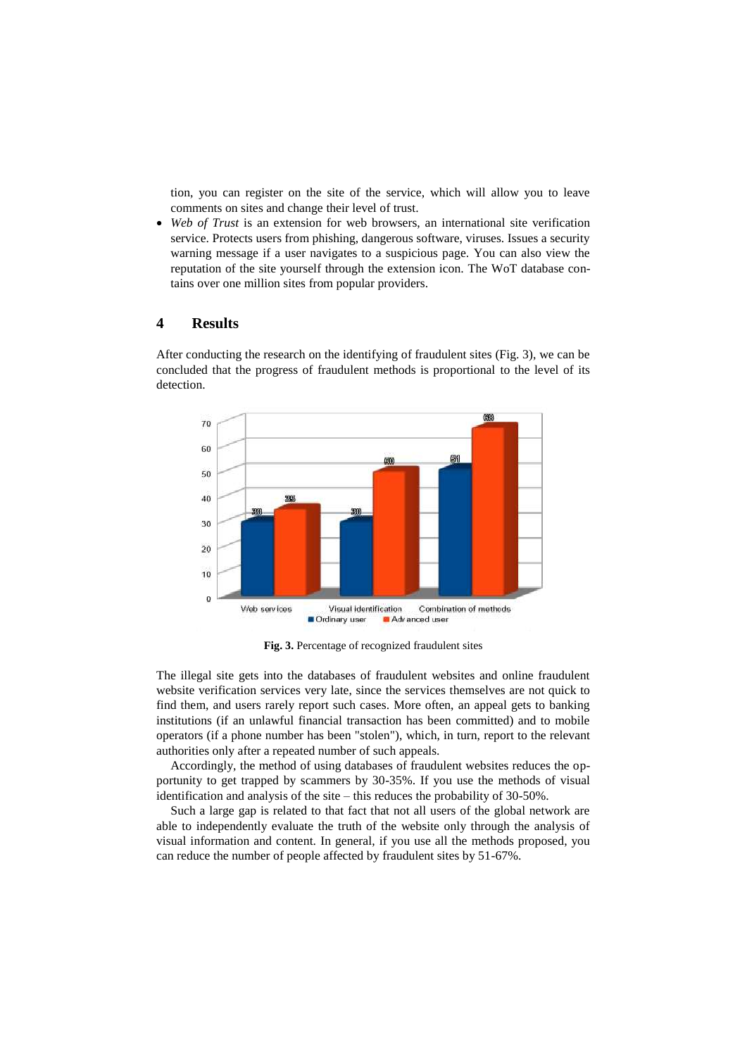tion, you can register on the site of the service, which will allow you to leave comments on sites and change their level of trust.

 *Web of Trust* is an extension for web browsers, an international site verification service. Protects users from phishing, dangerous software, viruses. Issues a security warning message if a user navigates to a suspicious page. You can also view the reputation of the site yourself through the extension icon. The WoT database contains over one million sites from popular providers.

## **4 Results**

After conducting the research on the identifying of fraudulent sites (Fig. 3), we can be concluded that the progress of fraudulent methods is proportional to the level of its detection.



**Fig. 3.** Percentage of recognized fraudulent sites

The illegal site gets into the databases of fraudulent websites and online fraudulent website verification services very late, since the services themselves are not quick to find them, and users rarely report such cases. More often, an appeal gets to banking institutions (if an unlawful financial transaction has been committed) and to mobile operators (if a phone number has been "stolen"), which, in turn, report to the relevant authorities only after a repeated number of such appeals.

Accordingly, the method of using databases of fraudulent websites reduces the opportunity to get trapped by scammers by 30-35%. If you use the methods of visual identification and analysis of the site – this reduces the probability of 30-50%.

Such a large gap is related to that fact that not all users of the global network are able to independently evaluate the truth of the website only through the analysis of visual information and content. In general, if you use all the methods proposed, you can reduce the number of people affected by fraudulent sites by 51-67%.